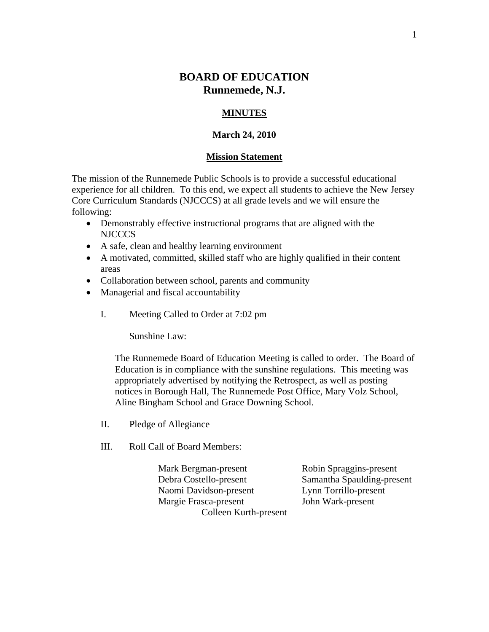# **BOARD OF EDUCATION Runnemede, N.J.**

# **MINUTES**

#### **March 24, 2010**

#### **Mission Statement**

The mission of the Runnemede Public Schools is to provide a successful educational experience for all children. To this end, we expect all students to achieve the New Jersey Core Curriculum Standards (NJCCCS) at all grade levels and we will ensure the following:

- Demonstrably effective instructional programs that are aligned with the NJCCCS
- A safe, clean and healthy learning environment
- A motivated, committed, skilled staff who are highly qualified in their content areas
- Collaboration between school, parents and community
- Managerial and fiscal accountability
	- I. Meeting Called to Order at 7:02 pm

Sunshine Law:

The Runnemede Board of Education Meeting is called to order. The Board of Education is in compliance with the sunshine regulations. This meeting was appropriately advertised by notifying the Retrospect, as well as posting notices in Borough Hall, The Runnemede Post Office, Mary Volz School, Aline Bingham School and Grace Downing School.

- II. Pledge of Allegiance
- III. Roll Call of Board Members:

 Mark Bergman-present Robin Spraggins-present Debra Costello-present Samantha Spaulding-present Naomi Davidson-present Lynn Torrillo-present Margie Frasca-present John Wark-present Colleen Kurth-present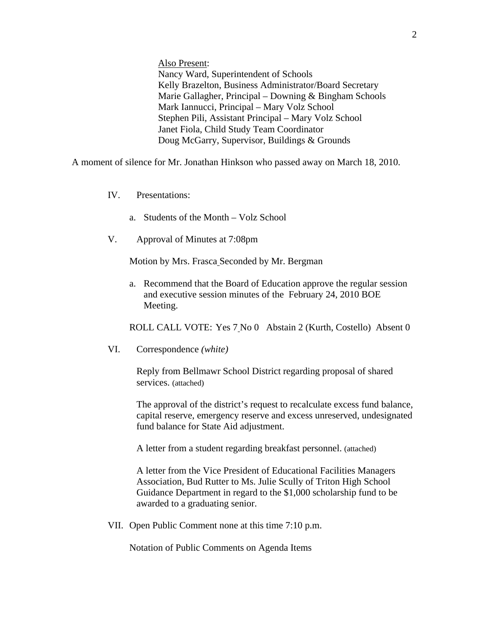Also Present:

Nancy Ward, Superintendent of Schools Kelly Brazelton, Business Administrator/Board Secretary Marie Gallagher, Principal – Downing & Bingham Schools Mark Iannucci, Principal – Mary Volz School Stephen Pili, Assistant Principal – Mary Volz School Janet Fiola, Child Study Team Coordinator Doug McGarry, Supervisor, Buildings & Grounds

A moment of silence for Mr. Jonathan Hinkson who passed away on March 18, 2010.

- IV. Presentations:
	- a. Students of the Month Volz School
- V. Approval of Minutes at 7:08pm

Motion by Mrs. Frasca Seconded by Mr. Bergman

a. Recommend that the Board of Education approve the regular session and executive session minutes of the February 24, 2010 BOE Meeting.

ROLL CALL VOTE: Yes 7 No 0 Abstain 2 (Kurth, Costello) Absent 0

VI. Correspondence *(white)* 

Reply from Bellmawr School District regarding proposal of shared services. (attached)

The approval of the district's request to recalculate excess fund balance, capital reserve, emergency reserve and excess unreserved, undesignated fund balance for State Aid adjustment.

A letter from a student regarding breakfast personnel. (attached)

A letter from the Vice President of Educational Facilities Managers Association, Bud Rutter to Ms. Julie Scully of Triton High School Guidance Department in regard to the \$1,000 scholarship fund to be awarded to a graduating senior.

VII. Open Public Comment none at this time 7:10 p.m.

Notation of Public Comments on Agenda Items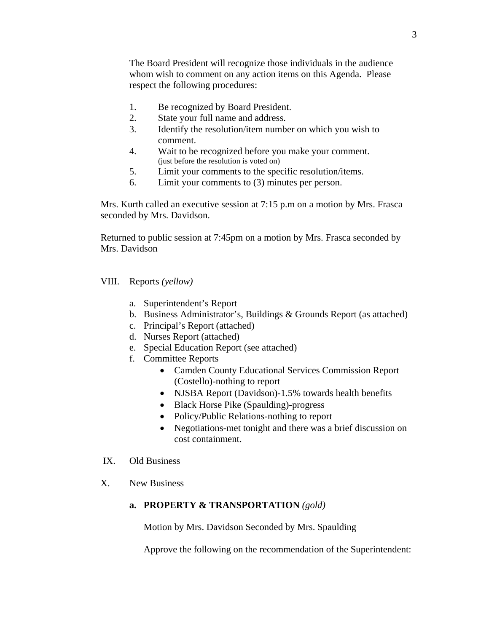The Board President will recognize those individuals in the audience whom wish to comment on any action items on this Agenda. Please respect the following procedures:

- 1. Be recognized by Board President.
- 2. State your full name and address.
- 3. Identify the resolution/item number on which you wish to comment.
- 4. Wait to be recognized before you make your comment. (just before the resolution is voted on)
- 5. Limit your comments to the specific resolution/items.
- 6. Limit your comments to (3) minutes per person.

Mrs. Kurth called an executive session at 7:15 p.m on a motion by Mrs. Frasca seconded by Mrs. Davidson.

Returned to public session at 7:45pm on a motion by Mrs. Frasca seconded by Mrs. Davidson

VIII. Reports *(yellow)* 

- a. Superintendent's Report
- b. Business Administrator's, Buildings & Grounds Report (as attached)
- c. Principal's Report (attached)
- d. Nurses Report (attached)
- e. Special Education Report (see attached)
- f. Committee Reports
	- Camden County Educational Services Commission Report (Costello)-nothing to report
	- NJSBA Report (Davidson)-1.5% towards health benefits
	- Black Horse Pike (Spaulding)-progress
	- Policy/Public Relations-nothing to report
	- Negotiations-met tonight and there was a brief discussion on cost containment.
- IX. Old Business
- X. New Business

## **a. PROPERTY & TRANSPORTATION** *(gold)*

Motion by Mrs. Davidson Seconded by Mrs. Spaulding

Approve the following on the recommendation of the Superintendent: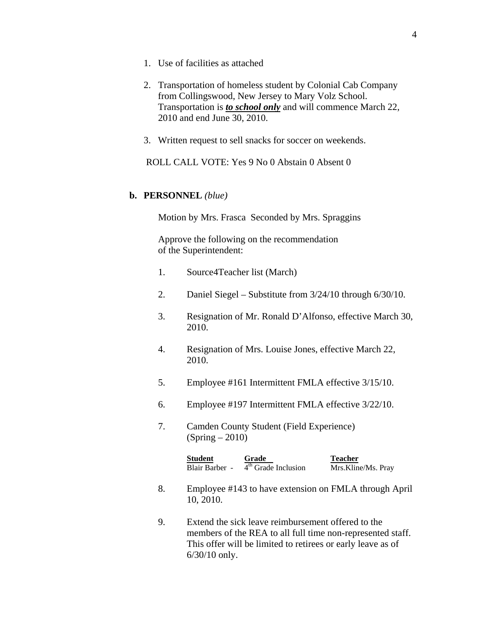- 1. Use of facilities as attached
- 2. Transportation of homeless student by Colonial Cab Company from Collingswood, New Jersey to Mary Volz School. Transportation is *to school only* and will commence March 22, 2010 and end June 30, 2010.
- 3. Written request to sell snacks for soccer on weekends.

ROLL CALL VOTE: Yes 9 No 0 Abstain 0 Absent 0

## **b. PERSONNEL** *(blue)*

Motion by Mrs. Frasca Seconded by Mrs. Spraggins

 Approve the following on the recommendation of the Superintendent:

- 1. Source4Teacher list (March)
- 2. Daniel Siegel Substitute from 3/24/10 through 6/30/10.
- 3. Resignation of Mr. Ronald D'Alfonso, effective March 30, 2010.
- 4. Resignation of Mrs. Louise Jones, effective March 22, 2010.
- 5. Employee #161 Intermittent FMLA effective 3/15/10.
- 6. Employee #197 Intermittent FMLA effective 3/22/10.
- 7. Camden County Student (Field Experience)  $(Spring - 2010)$

| <b>Student</b> | Grade                 | <b>Teacher</b>     |
|----------------|-----------------------|--------------------|
| Blair Barber - | $4th$ Grade Inclusion | Mrs.Kline/Ms. Pray |

- 8. Employee #143 to have extension on FMLA through April 10, 2010.
- 9. Extend the sick leave reimbursement offered to the members of the REA to all full time non-represented staff. This offer will be limited to retirees or early leave as of 6/30/10 only.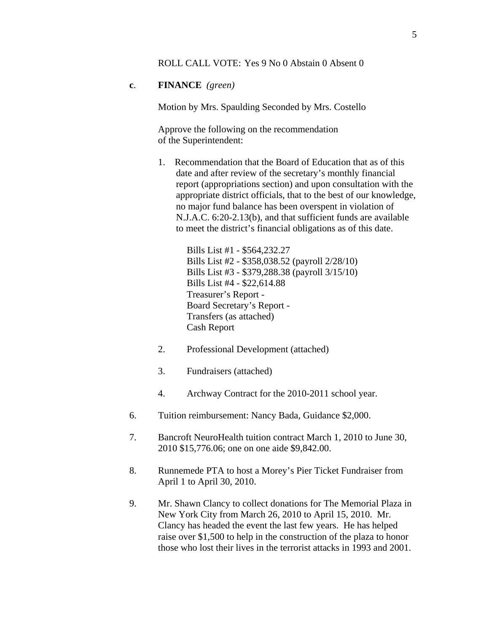## ROLL CALL VOTE: Yes 9 No 0 Abstain 0 Absent 0

## **c**. **FINANCE** *(green)*

Motion by Mrs. Spaulding Seconded by Mrs. Costello

Approve the following on the recommendation of the Superintendent:

1. Recommendation that the Board of Education that as of this date and after review of the secretary's monthly financial report (appropriations section) and upon consultation with the appropriate district officials, that to the best of our knowledge, no major fund balance has been overspent in violation of N.J.A.C. 6:20-2.13(b), and that sufficient funds are available to meet the district's financial obligations as of this date.

> Bills List #1 - \$564,232.27 Bills List #2 - \$358,038.52 (payroll 2/28/10) Bills List #3 - \$379,288.38 (payroll 3/15/10) Bills List #4 - \$22,614.88 Treasurer's Report - Board Secretary's Report - Transfers (as attached) Cash Report

- 2. Professional Development (attached)
- 3. Fundraisers (attached)
- 4. Archway Contract for the 2010-2011 school year.
- 6. Tuition reimbursement: Nancy Bada, Guidance \$2,000.
- 7. Bancroft NeuroHealth tuition contract March 1, 2010 to June 30, 2010 \$15,776.06; one on one aide \$9,842.00.
- 8. Runnemede PTA to host a Morey's Pier Ticket Fundraiser from April 1 to April 30, 2010.
- 9. Mr. Shawn Clancy to collect donations for The Memorial Plaza in New York City from March 26, 2010 to April 15, 2010. Mr. Clancy has headed the event the last few years. He has helped raise over \$1,500 to help in the construction of the plaza to honor those who lost their lives in the terrorist attacks in 1993 and 2001.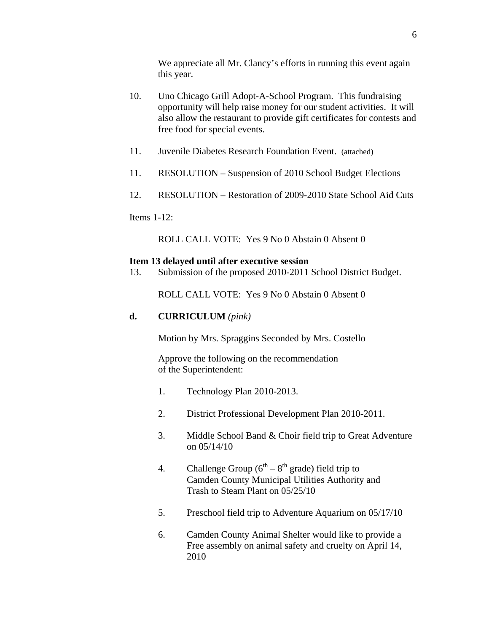We appreciate all Mr. Clancy's efforts in running this event again this year.

- 10. Uno Chicago Grill Adopt-A-School Program. This fundraising opportunity will help raise money for our student activities. It will also allow the restaurant to provide gift certificates for contests and free food for special events.
- 11. Juvenile Diabetes Research Foundation Event. (attached)
- 11. RESOLUTION Suspension of 2010 School Budget Elections
- 12. RESOLUTION Restoration of 2009-2010 State School Aid Cuts

Items  $1-12$ :

ROLL CALL VOTE: Yes 9 No 0 Abstain 0 Absent 0

#### **Item 13 delayed until after executive session**

13. Submission of the proposed 2010-2011 School District Budget.

ROLL CALL VOTE: Yes 9 No 0 Abstain 0 Absent 0

# **d. CURRICULUM** *(pink)*

Motion by Mrs. Spraggins Seconded by Mrs. Costello

Approve the following on the recommendation of the Superintendent:

- 1. Technology Plan 2010-2013.
- 2. District Professional Development Plan 2010-2011.
- 3. Middle School Band & Choir field trip to Great Adventure on 05/14/10
- 4. Challenge Group  $(6^{th} 8^{th})$  grade) field trip to Camden County Municipal Utilities Authority and Trash to Steam Plant on 05/25/10
- 5. Preschool field trip to Adventure Aquarium on 05/17/10
- 6. Camden County Animal Shelter would like to provide a Free assembly on animal safety and cruelty on April 14, 2010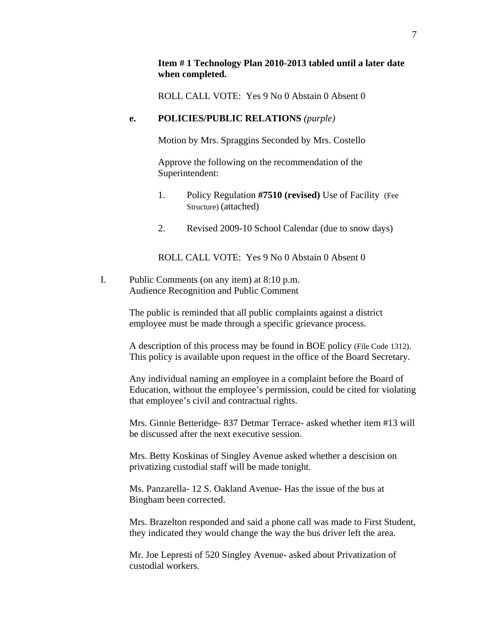# **Item # 1 Technology Plan 2010-2013 tabled until a later date when completed.**

ROLL CALL VOTE: Yes 9 No 0 Abstain 0 Absent 0

# **e. POLICIES/PUBLIC RELATIONS** *(purple)*

Motion by Mrs. Spraggins Seconded by Mrs. Costello

Approve the following on the recommendation of the Superintendent:

- 1. Policy Regulation **#7510 (revised)** Use of Facility (Fee Structure) (attached)
- 2. Revised 2009-10 School Calendar (due to snow days)

ROLL CALL VOTE: Yes 9 No 0 Abstain 0 Absent 0

I. Public Comments (on any item) at 8:10 p.m. Audience Recognition and Public Comment

> The public is reminded that all public complaints against a district employee must be made through a specific grievance process.

A description of this process may be found in BOE policy (File Code 1312). This policy is available upon request in the office of the Board Secretary.

Any individual naming an employee in a complaint before the Board of Education, without the employee's permission, could be cited for violating that employee's civil and contractual rights.

Mrs. Ginnie Betteridge- 837 Detmar Terrace- asked whether item #13 will be discussed after the next executive session.

Mrs. Betty Koskinas of Singley Avenue asked whether a descision on privatizing custodial staff will be made tonight.

Ms. Panzarella- 12 S. Oakland Avenue- Has the issue of the bus at Bingham been corrected.

Mrs. Brazelton responded and said a phone call was made to First Student, they indicated they would change the way the bus driver left the area.

Mr. Joe Lepresti of 520 Singley Avenue- asked about Privatization of custodial workers.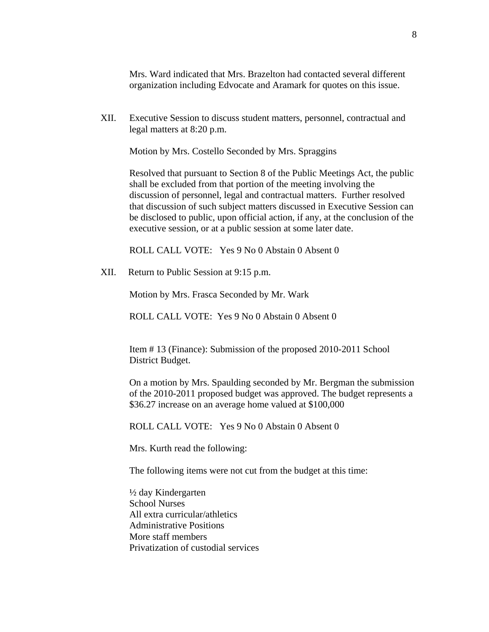Mrs. Ward indicated that Mrs. Brazelton had contacted several different organization including Edvocate and Aramark for quotes on this issue.

XII. Executive Session to discuss student matters, personnel, contractual and legal matters at 8:20 p.m.

Motion by Mrs. Costello Seconded by Mrs. Spraggins

Resolved that pursuant to Section 8 of the Public Meetings Act, the public shall be excluded from that portion of the meeting involving the discussion of personnel, legal and contractual matters. Further resolved that discussion of such subject matters discussed in Executive Session can be disclosed to public, upon official action, if any, at the conclusion of the executive session, or at a public session at some later date.

ROLL CALL VOTE: Yes 9 No 0 Abstain 0 Absent 0

XII. Return to Public Session at 9:15 p.m.

Motion by Mrs. Frasca Seconded by Mr. Wark

ROLL CALL VOTE: Yes 9 No 0 Abstain 0 Absent 0

Item # 13 (Finance): Submission of the proposed 2010-2011 School District Budget.

On a motion by Mrs. Spaulding seconded by Mr. Bergman the submission of the 2010-2011 proposed budget was approved. The budget represents a \$36.27 increase on an average home valued at \$100,000

ROLL CALL VOTE: Yes 9 No 0 Abstain 0 Absent 0

Mrs. Kurth read the following:

The following items were not cut from the budget at this time:

½ day Kindergarten School Nurses All extra curricular/athletics Administrative Positions More staff members Privatization of custodial services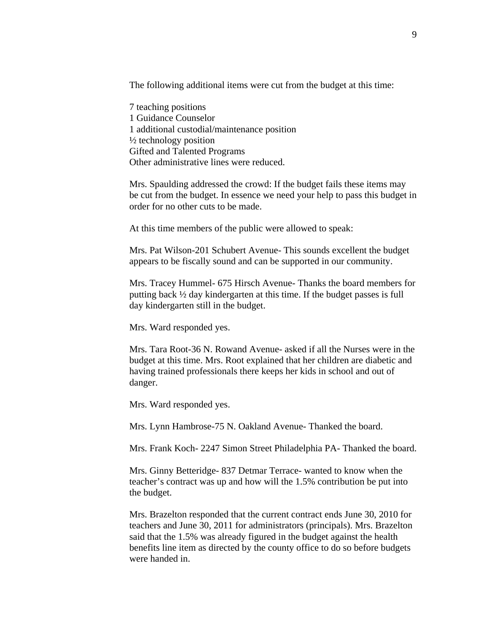The following additional items were cut from the budget at this time:

7 teaching positions 1 Guidance Counselor 1 additional custodial/maintenance position  $\frac{1}{2}$  technology position Gifted and Talented Programs Other administrative lines were reduced.

Mrs. Spaulding addressed the crowd: If the budget fails these items may be cut from the budget. In essence we need your help to pass this budget in order for no other cuts to be made.

At this time members of the public were allowed to speak:

Mrs. Pat Wilson-201 Schubert Avenue- This sounds excellent the budget appears to be fiscally sound and can be supported in our community.

Mrs. Tracey Hummel- 675 Hirsch Avenue- Thanks the board members for putting back ½ day kindergarten at this time. If the budget passes is full day kindergarten still in the budget.

Mrs. Ward responded yes.

Mrs. Tara Root-36 N. Rowand Avenue- asked if all the Nurses were in the budget at this time. Mrs. Root explained that her children are diabetic and having trained professionals there keeps her kids in school and out of danger.

Mrs. Ward responded yes.

Mrs. Lynn Hambrose-75 N. Oakland Avenue- Thanked the board.

Mrs. Frank Koch- 2247 Simon Street Philadelphia PA- Thanked the board.

Mrs. Ginny Betteridge- 837 Detmar Terrace- wanted to know when the teacher's contract was up and how will the 1.5% contribution be put into the budget.

Mrs. Brazelton responded that the current contract ends June 30, 2010 for teachers and June 30, 2011 for administrators (principals). Mrs. Brazelton said that the 1.5% was already figured in the budget against the health benefits line item as directed by the county office to do so before budgets were handed in.